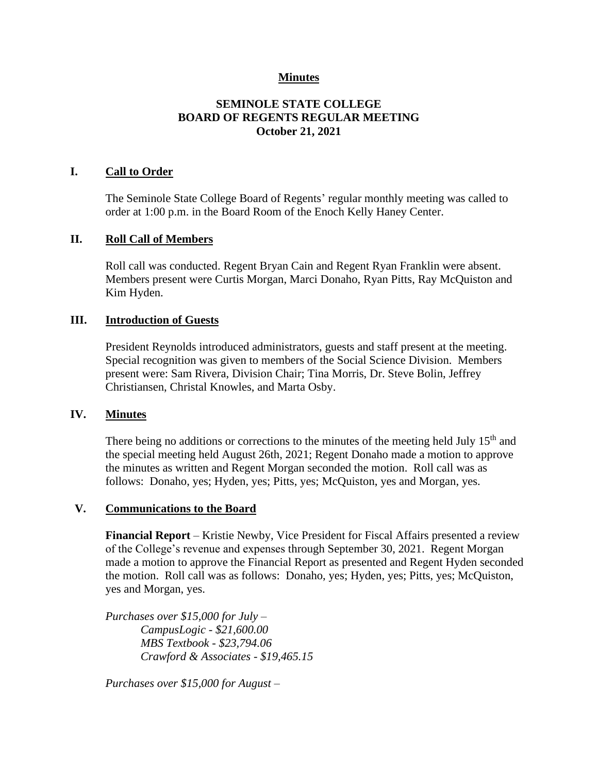## **Minutes**

## **SEMINOLE STATE COLLEGE BOARD OF REGENTS REGULAR MEETING October 21, 2021**

### **I. Call to Order**

The Seminole State College Board of Regents' regular monthly meeting was called to order at 1:00 p.m. in the Board Room of the Enoch Kelly Haney Center.

### **II. Roll Call of Members**

Roll call was conducted. Regent Bryan Cain and Regent Ryan Franklin were absent. Members present were Curtis Morgan, Marci Donaho, Ryan Pitts, Ray McQuiston and Kim Hyden.

### **III. Introduction of Guests**

President Reynolds introduced administrators, guests and staff present at the meeting. Special recognition was given to members of the Social Science Division. Members present were: Sam Rivera, Division Chair; Tina Morris, Dr. Steve Bolin, Jeffrey Christiansen, Christal Knowles, and Marta Osby.

### **IV. Minutes**

There being no additions or corrections to the minutes of the meeting held July  $15<sup>th</sup>$  and the special meeting held August 26th, 2021; Regent Donaho made a motion to approve the minutes as written and Regent Morgan seconded the motion. Roll call was as follows: Donaho, yes; Hyden, yes; Pitts, yes; McQuiston, yes and Morgan, yes.

#### **V. Communications to the Board**

**Financial Report** – Kristie Newby, Vice President for Fiscal Affairs presented a review of the College's revenue and expenses through September 30, 2021. Regent Morgan made a motion to approve the Financial Report as presented and Regent Hyden seconded the motion. Roll call was as follows: Donaho, yes; Hyden, yes; Pitts, yes; McQuiston, yes and Morgan, yes.

*Purchases over \$15,000 for July – CampusLogic - \$21,600.00 MBS Textbook - \$23,794.06 Crawford & Associates - \$19,465.15*

*Purchases over \$15,000 for August –*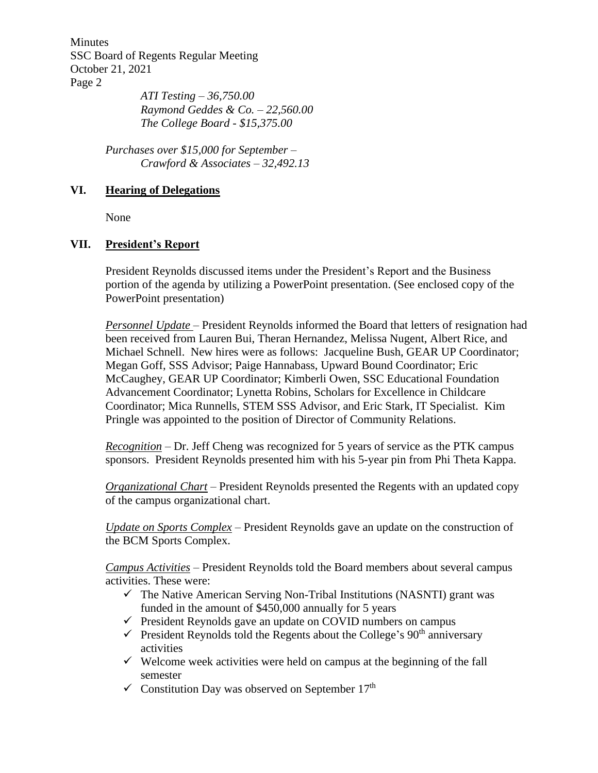Minutes SSC Board of Regents Regular Meeting October 21, 2021 Page 2

*ATI Testing – 36,750.00 Raymond Geddes & Co. – 22,560.00 The College Board - \$15,375.00*

*Purchases over \$15,000 for September – Crawford & Associates – 32,492.13*

## **VI. Hearing of Delegations**

None

## **VII. President's Report**

President Reynolds discussed items under the President's Report and the Business portion of the agenda by utilizing a PowerPoint presentation. (See enclosed copy of the PowerPoint presentation)

*Personnel Update* – President Reynolds informed the Board that letters of resignation had been received from Lauren Bui, Theran Hernandez, Melissa Nugent, Albert Rice, and Michael Schnell. New hires were as follows: Jacqueline Bush, GEAR UP Coordinator; Megan Goff, SSS Advisor; Paige Hannabass, Upward Bound Coordinator; Eric McCaughey, GEAR UP Coordinator; Kimberli Owen, SSC Educational Foundation Advancement Coordinator; Lynetta Robins, Scholars for Excellence in Childcare Coordinator; Mica Runnells, STEM SSS Advisor, and Eric Stark, IT Specialist. Kim Pringle was appointed to the position of Director of Community Relations.

*Recognition* – Dr. Jeff Cheng was recognized for 5 years of service as the PTK campus sponsors. President Reynolds presented him with his 5-year pin from Phi Theta Kappa.

*Organizational Chart* – President Reynolds presented the Regents with an updated copy of the campus organizational chart.

*Update on Sports Complex* – President Reynolds gave an update on the construction of the BCM Sports Complex.

*Campus Activities* – President Reynolds told the Board members about several campus activities. These were:

- $\checkmark$  The Native American Serving Non-Tribal Institutions (NASNTI) grant was funded in the amount of \$450,000 annually for 5 years
- $\checkmark$  President Reynolds gave an update on COVID numbers on campus
- $\checkmark$  President Reynolds told the Regents about the College's 90<sup>th</sup> anniversary activities
- $\checkmark$  Welcome week activities were held on campus at the beginning of the fall semester
- $\checkmark$  Constitution Day was observed on September 17<sup>th</sup>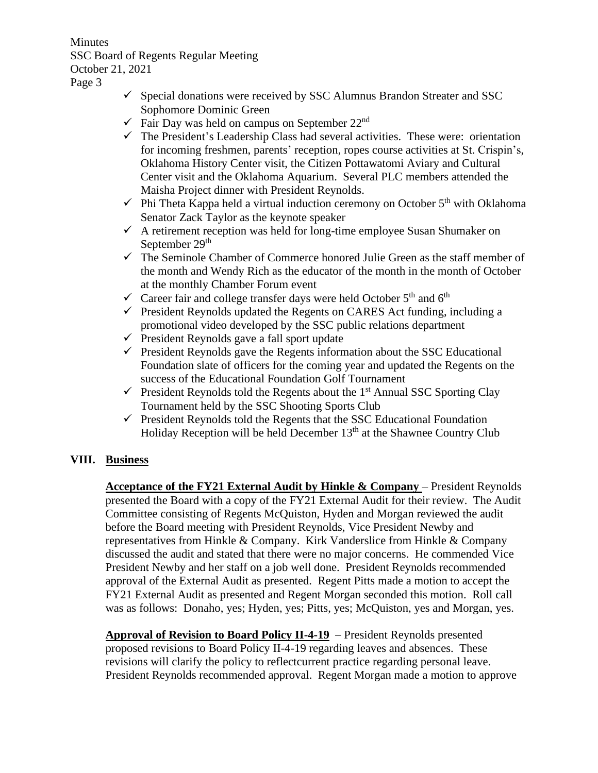Minutes SSC Board of Regents Regular Meeting October 21, 2021

Page 3

- $\checkmark$  Special donations were received by SSC Alumnus Brandon Streater and SSC Sophomore Dominic Green
- $\checkmark$  Fair Day was held on campus on September 22<sup>nd</sup>
- $\checkmark$  The President's Leadership Class had several activities. These were: orientation for incoming freshmen, parents' reception, ropes course activities at St. Crispin's, Oklahoma History Center visit, the Citizen Pottawatomi Aviary and Cultural Center visit and the Oklahoma Aquarium. Several PLC members attended the Maisha Project dinner with President Reynolds.
- $\checkmark$  Phi Theta Kappa held a virtual induction ceremony on October 5<sup>th</sup> with Oklahoma Senator Zack Taylor as the keynote speaker
- $\checkmark$  A retirement reception was held for long-time employee Susan Shumaker on September 29<sup>th</sup>
- $\checkmark$  The Seminole Chamber of Commerce honored Julie Green as the staff member of the month and Wendy Rich as the educator of the month in the month of October at the monthly Chamber Forum event
- $\checkmark$  Career fair and college transfer days were held October 5<sup>th</sup> and 6<sup>th</sup>
- $\checkmark$  President Reynolds updated the Regents on CARES Act funding, including a promotional video developed by the SSC public relations department
- ✓ President Reynolds gave a fall sport update
- $\checkmark$  President Reynolds gave the Regents information about the SSC Educational Foundation slate of officers for the coming year and updated the Regents on the success of the Educational Foundation Golf Tournament
- $\checkmark$  President Reynolds told the Regents about the 1<sup>st</sup> Annual SSC Sporting Clay Tournament held by the SSC Shooting Sports Club
- $\checkmark$  President Reynolds told the Regents that the SSC Educational Foundation Holiday Reception will be held December 13<sup>th</sup> at the Shawnee Country Club

# **VIII. Business**

**Acceptance of the FY21 External Audit by Hinkle & Company** – President Reynolds presented the Board with a copy of the FY21 External Audit for their review. The Audit Committee consisting of Regents McQuiston, Hyden and Morgan reviewed the audit before the Board meeting with President Reynolds, Vice President Newby and representatives from Hinkle & Company. Kirk Vanderslice from Hinkle & Company discussed the audit and stated that there were no major concerns. He commended Vice President Newby and her staff on a job well done. President Reynolds recommended approval of the External Audit as presented. Regent Pitts made a motion to accept the FY21 External Audit as presented and Regent Morgan seconded this motion. Roll call was as follows: Donaho, yes; Hyden, yes; Pitts, yes; McQuiston, yes and Morgan, yes.

**Approval of Revision to Board Policy II-4-19** – President Reynolds presented proposed revisions to Board Policy II-4-19 regarding leaves and absences. These revisions will clarify the policy to reflectcurrent practice regarding personal leave. President Reynolds recommended approval. Regent Morgan made a motion to approve